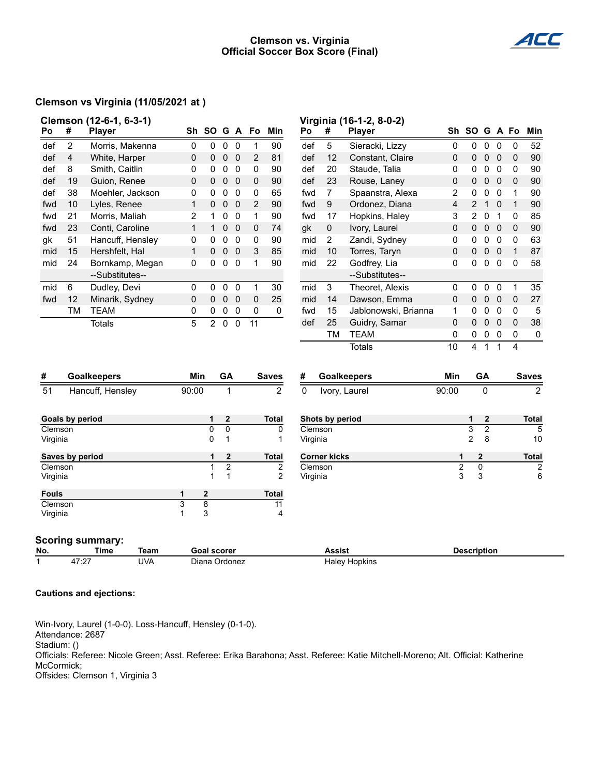### **Clemson vs. Virginia Official Soccer Box Score (Final)**



### **Clemson vs Virginia (11/05/2021 at )**

|                                                |                    | Clemson (12-6-1, 6-3-1) |                |                    |                  |             |                |                      |          |                         | Virginia (16-1-2, 8-0-2) |                |                    |                |                |              |                |
|------------------------------------------------|--------------------|-------------------------|----------------|--------------------|------------------|-------------|----------------|----------------------|----------|-------------------------|--------------------------|----------------|--------------------|----------------|----------------|--------------|----------------|
| Po                                             | #                  | <b>Player</b>           |                |                    |                  |             | Sh SO G A Fo   | Min                  | Po       | #                       | <b>Player</b>            |                | Sh SO G A Fo       |                |                |              | Min            |
| def                                            | 2                  | Morris, Makenna         | 0              | 0                  | 0                | $\Omega$    | 1              | 90                   | def      | 5                       | Sieracki, Lizzy          | 0              | 0                  | $\Omega$       | 0              | 0            | 52             |
| def                                            | 4                  | White, Harper           | 0              | 0                  | 0                | 0           | 2              | 81                   | def      | 12                      | Constant, Claire         | 0              | 0                  | $\pmb{0}$      | $\mathbf 0$    | 0            | 90             |
| def                                            | 8                  | Smith, Caitlin          | 0              | 0                  | $\mathbf 0$      | $\Omega$    | 0              | 90                   | def      | 20                      | Staude, Talia            | 0              | 0                  | $\mathbf 0$    | $\Omega$       | $\mathbf 0$  | 90             |
| def                                            | 19                 | Guion, Renee            | 0              | 0                  | 0                | 0           | 0              | 90                   | def      | 23                      | Rouse, Laney             | $\mathbf 0$    | 0                  | $\pmb{0}$      | $\mathbf 0$    | $\mathbf 0$  | 90             |
| def                                            | 38                 | Moehler, Jackson        | 0              | 0                  | 0                | $\mathbf 0$ | 0              | 65                   | fwd      | $\overline{7}$          | Spaanstra, Alexa         | 2              | 0                  | $\mathbf 0$    | $\Omega$       | 1            | 90             |
| fwd                                            | 10                 | Lyles, Renee            | $\mathbf{1}$   | 0                  | $\pmb{0}$        | 0           | $\overline{2}$ | 90                   | fwd      | 9                       | Ordonez, Diana           | $\overline{4}$ | 2                  | $\mathbf{1}$   | $\mathbf 0$    | $\mathbf{1}$ | 90             |
| fwd                                            | 21                 | Morris, Maliah          | $\overline{2}$ | $\mathbf{1}$       | 0                | $\mathbf 0$ | $\mathbf{1}$   | 90                   | fwd      | 17                      | Hopkins, Haley           | 3              | $\overline{2}$     | $\mathbf 0$    | $\mathbf{1}$   | 0            | 85             |
| fwd                                            | 23                 | Conti, Caroline         | $\mathbf{1}$   | $\mathbf{1}$       | 0                | 0           | $\pmb{0}$      | 74                   | gk       | $\pmb{0}$               | Ivory, Laurel            | $\mathbf 0$    | $\mathbf 0$        | $\pmb{0}$      | $\overline{0}$ | $\mathbf 0$  | 90             |
| gk                                             | 51                 | Hancuff, Hensley        | 0              | 0                  | 0                | 0           | 0              | 90                   | mid      | $\overline{2}$          | Zandi, Sydney            | 0              | 0                  | $\mathbf 0$    | $\mathbf 0$    | 0            | 63             |
| mid                                            | 15                 | Hershfelt, Hal          | $\mathbf{1}$   | 0                  | $\pmb{0}$        | 0           | $\sqrt{3}$     | 85                   | mid      | 10                      | Torres, Taryn            | 0              | 0                  | $\pmb{0}$      | $\mathbf 0$    | $\mathbf 1$  | 87             |
| mid                                            | 24                 | Bornkamp, Megan         | 0              | 0                  | 0                | $\mathbf 0$ | $\mathbf{1}$   | 90                   | mid      | 22                      | Godfrey, Lia             | 0              | 0                  | $\mathbf 0$    | $\Omega$       | 0            | 58             |
|                                                |                    | --Substitutes--         |                |                    |                  |             |                |                      |          |                         | --Substitutes--          |                |                    |                |                |              |                |
| mid                                            | 6                  | Dudley, Devi            | 0              | 0                  | 0                | 0           | 1              | 30                   | mid      | 3                       | Theoret, Alexis          | 0              | 0                  | $\pmb{0}$      | $\mathbf 0$    | 1            | 35             |
| fwd                                            | 12                 | Minarik, Sydney         | 0              | 0                  | $\pmb{0}$        | $\mathbf 0$ | 0              | 25                   | mid      | 14                      | Dawson, Emma             | 0              | $\mathbf{0}$       | $\pmb{0}$      | $\mathbf 0$    | 0            | 27             |
|                                                | TM                 | <b>TEAM</b>             | 0              | 0                  | 0                | 0           | 0              | 0                    | fwd      | 15                      | Jablonowski, Brianna     | 1              | 0                  | $\pmb{0}$      | 0              | 0            | 5              |
|                                                |                    | <b>Totals</b>           | 5              | $\overline{2}$     | $\mathbf 0$      | $\mathbf 0$ | 11             |                      | def      | 25                      | Guidry, Samar            | $\mathbf 0$    | 0                  | $\pmb{0}$      | $\mathbf 0$    | 0            | 38             |
|                                                |                    |                         |                |                    |                  |             |                |                      |          | <b>TM</b>               | <b>TEAM</b>              | 0              | 0                  | $\mathbf 0$    | 0              | 0            | 0              |
|                                                |                    |                         |                |                    |                  |             |                |                      |          |                         | <b>Totals</b>            | 10             | 4                  | $\mathbf{1}$   | 1              | 4            |                |
| #                                              | <b>Goalkeepers</b> |                         |                | Min<br>GA          |                  |             | <b>Saves</b>   |                      |          | <b>Goalkeepers</b><br># |                          |                | Min<br><b>GA</b>   |                |                | <b>Saves</b> |                |
| 51                                             |                    | Hancuff, Hensley        | 90:00          |                    | 1                |             |                | $\overline{2}$       | $\Omega$ |                         | Ivory, Laurel            | 90:00          |                    | 0              |                |              | $\overline{2}$ |
|                                                |                    |                         |                |                    |                  |             |                |                      |          |                         |                          |                |                    |                |                |              |                |
| <b>Goals by period</b>                         |                    |                         |                | 1                  | 2                |             |                | <b>Total</b>         |          | Shots by period         |                          |                | 1                  | 2              |                |              | <b>Total</b>   |
| Clemson                                        |                    |                         |                | $\mathbf 0$        | 0                |             |                | 0                    | Clemson  |                         |                          |                | 3                  | $\overline{2}$ |                |              | 5              |
| Virginia                                       |                    |                         |                | 0                  | 1                |             |                | 1                    | Virginia |                         |                          |                | $\overline{2}$     | 8              |                |              | 10             |
| Saves by period                                |                    |                         |                | 1                  | $\boldsymbol{2}$ |             |                | <b>Total</b>         |          | <b>Corner kicks</b>     |                          | 1              |                    | $\mathbf{2}$   |                |              | <b>Total</b>   |
| Clemson                                        |                    |                         |                | 1                  | $\overline{2}$   |             |                | 2                    | Clemson  |                         |                          | $\overline{2}$ |                    | 0              |                |              | 2              |
| Virginia                                       |                    |                         |                | 1                  | $\mathbf{1}$     |             |                | $\overline{2}$       | Virginia |                         |                          | 3              |                    | 3              |                |              | 6              |
| <b>Fouls</b>                                   |                    |                         | 1              | 2                  |                  |             |                | <b>Total</b>         |          |                         |                          |                |                    |                |                |              |                |
| Clemson                                        |                    | 3                       | $\overline{8}$ |                    |                  |             | 11             |                      |          |                         |                          |                |                    |                |                |              |                |
| Virginia                                       |                    |                         | 1              | 3                  |                  |             |                | 4                    |          |                         |                          |                |                    |                |                |              |                |
|                                                |                    |                         |                |                    |                  |             |                |                      |          |                         |                          |                |                    |                |                |              |                |
| <b>Scoring summary:</b><br>No.<br>Time<br>Team |                    |                         |                | <b>Goal scorer</b> |                  |             |                |                      |          | <b>Assist</b>           |                          |                | <b>Description</b> |                |                |              |                |
| 47:27<br><b>UVA</b><br>1<br>Diana Ordonez      |                    |                         |                |                    |                  |             |                | <b>Haley Hopkins</b> |          |                         |                          |                |                    |                |                |              |                |
|                                                |                    |                         |                |                    |                  |             |                |                      |          |                         |                          |                |                    |                |                |              |                |

#### **Cautions and ejections:**

Win-Ivory, Laurel (1-0-0). Loss-Hancuff, Hensley (0-1-0). Attendance: 2687 Stadium: () Officials: Referee: Nicole Green; Asst. Referee: Erika Barahona; Asst. Referee: Katie Mitchell-Moreno; Alt. Official: Katherine McCormick; Offsides: Clemson 1, Virginia 3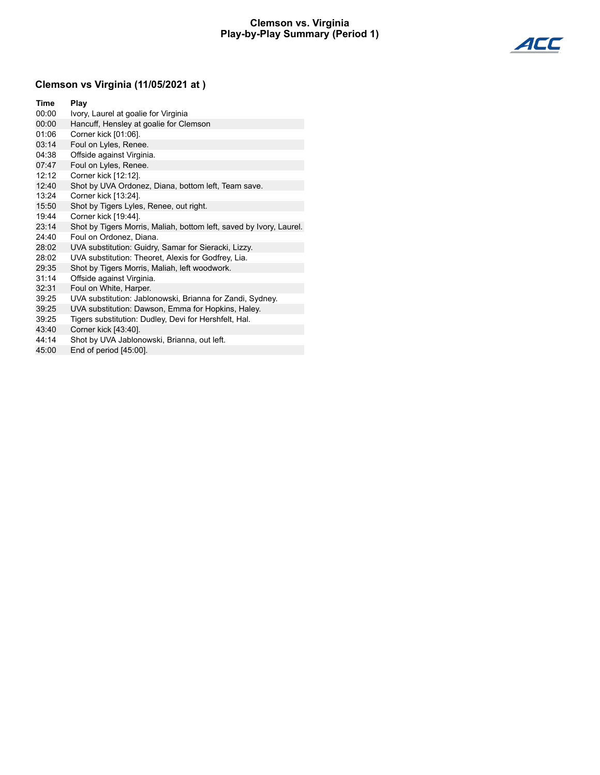#### **Clemson vs. Virginia Play-by-Play Summary (Period 1)**



# **Clemson vs Virginia (11/05/2021 at )**

| Time  | Play                                                                |
|-------|---------------------------------------------------------------------|
| 00:00 | Ivory, Laurel at goalie for Virginia                                |
| 00:00 | Hancuff, Hensley at goalie for Clemson                              |
| 01:06 | Corner kick [01:06].                                                |
| 03:14 | Foul on Lyles, Renee.                                               |
| 04:38 | Offside against Virginia.                                           |
| 07:47 | Foul on Lyles, Renee.                                               |
| 12:12 | Corner kick [12:12].                                                |
| 12:40 | Shot by UVA Ordonez, Diana, bottom left, Team save.                 |
| 13:24 | Corner kick [13:24].                                                |
| 15:50 | Shot by Tigers Lyles, Renee, out right.                             |
| 19:44 | Corner kick [19:44].                                                |
| 23:14 | Shot by Tigers Morris, Maliah, bottom left, saved by Ivory, Laurel. |
| 24:40 | Foul on Ordonez, Diana.                                             |
| 28:02 | UVA substitution: Guidry, Samar for Sieracki, Lizzy.                |
| 28:02 | UVA substitution: Theoret, Alexis for Godfrey, Lia.                 |
| 29:35 | Shot by Tigers Morris, Maliah, left woodwork.                       |
| 31:14 | Offside against Virginia.                                           |
| 32:31 | Foul on White, Harper.                                              |
| 39:25 | UVA substitution: Jablonowski, Brianna for Zandi, Sydney.           |
| 39:25 | UVA substitution: Dawson, Emma for Hopkins, Haley.                  |
| 39:25 | Tigers substitution: Dudley, Devi for Hershfelt, Hal.               |
| 43:40 | Corner kick [43:40].                                                |
| 44:14 | Shot by UVA Jablonowski, Brianna, out left.                         |

45:00 End of period [45:00].